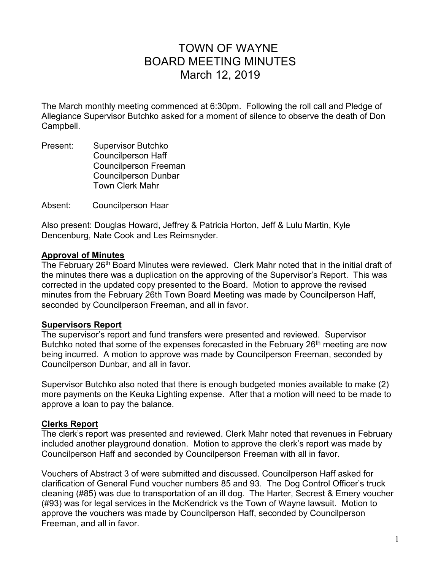# TOWN OF WAYNE BOARD MEETING MINUTES March 12, 2019

The March monthly meeting commenced at 6:30pm. Following the roll call and Pledge of Allegiance Supervisor Butchko asked for a moment of silence to observe the death of Don Campbell.

Present: Supervisor Butchko Councilperson Haff Councilperson Freeman Councilperson Dunbar Town Clerk Mahr

Absent: Councilperson Haar

Also present: Douglas Howard, Jeffrey & Patricia Horton, Jeff & Lulu Martin, Kyle Dencenburg, Nate Cook and Les Reimsnyder.

#### **Approval of Minutes**

The February 26<sup>th</sup> Board Minutes were reviewed. Clerk Mahr noted that in the initial draft of the minutes there was a duplication on the approving of the Supervisor's Report. This was corrected in the updated copy presented to the Board. Motion to approve the revised minutes from the February 26th Town Board Meeting was made by Councilperson Haff, seconded by Councilperson Freeman, and all in favor.

#### **Supervisors Report**

The supervisor's report and fund transfers were presented and reviewed. Supervisor Butchko noted that some of the expenses forecasted in the February 26<sup>th</sup> meeting are now being incurred. A motion to approve was made by Councilperson Freeman, seconded by Councilperson Dunbar, and all in favor.

Supervisor Butchko also noted that there is enough budgeted monies available to make (2) more payments on the Keuka Lighting expense. After that a motion will need to be made to approve a loan to pay the balance.

#### **Clerks Report**

The clerk's report was presented and reviewed. Clerk Mahr noted that revenues in February included another playground donation. Motion to approve the clerk's report was made by Councilperson Haff and seconded by Councilperson Freeman with all in favor.

Vouchers of Abstract 3 of were submitted and discussed. Councilperson Haff asked for clarification of General Fund voucher numbers 85 and 93. The Dog Control Officer's truck cleaning (#85) was due to transportation of an ill dog. The Harter, Secrest & Emery voucher (#93) was for legal services in the McKendrick vs the Town of Wayne lawsuit. Motion to approve the vouchers was made by Councilperson Haff, seconded by Councilperson Freeman, and all in favor.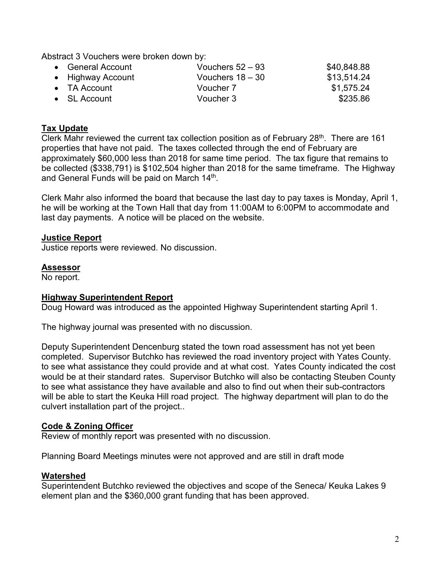Abstract 3 Vouchers were broken down by:

| • General Account    | Vouchers $52 - 93$ | \$40,848.88 |
|----------------------|--------------------|-------------|
| • Highway Account    | Vouchers $18 - 30$ | \$13,514.24 |
| $\bullet$ TA Account | Voucher 7          | \$1,575.24  |
| $\bullet$ SL Account | Voucher 3          | \$235.86    |

## **Tax Update**

Clerk Mahr reviewed the current tax collection position as of February 28<sup>th</sup>. There are 161 properties that have not paid. The taxes collected through the end of February are approximately \$60,000 less than 2018 for same time period. The tax figure that remains to be collected (\$338,791) is \$102,504 higher than 2018 for the same timeframe. The Highway and General Funds will be paid on March 14<sup>th</sup>.

Clerk Mahr also informed the board that because the last day to pay taxes is Monday, April 1, he will be working at the Town Hall that day from 11:00AM to 6:00PM to accommodate and last day payments. A notice will be placed on the website.

## **Justice Report**

Justice reports were reviewed. No discussion.

#### **Assessor**

No report.

#### **Highway Superintendent Report**

Doug Howard was introduced as the appointed Highway Superintendent starting April 1.

The highway journal was presented with no discussion.

Deputy Superintendent Dencenburg stated the town road assessment has not yet been completed. Supervisor Butchko has reviewed the road inventory project with Yates County. to see what assistance they could provide and at what cost. Yates County indicated the cost would be at their standard rates. Supervisor Butchko will also be contacting Steuben County to see what assistance they have available and also to find out when their sub-contractors will be able to start the Keuka Hill road project. The highway department will plan to do the culvert installation part of the project..

## **Code & Zoning Officer**

Review of monthly report was presented with no discussion.

Planning Board Meetings minutes were not approved and are still in draft mode

#### **Watershed**

Superintendent Butchko reviewed the objectives and scope of the Seneca/ Keuka Lakes 9 element plan and the \$360,000 grant funding that has been approved.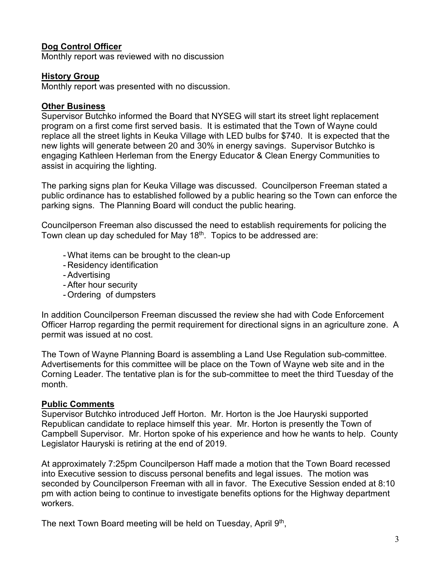## **Dog Control Officer**

Monthly report was reviewed with no discussion

### **History Group**

Monthly report was presented with no discussion.

## **Other Business**

Supervisor Butchko informed the Board that NYSEG will start its street light replacement program on a first come first served basis. It is estimated that the Town of Wayne could replace all the street lights in Keuka Village with LED bulbs for \$740. It is expected that the new lights will generate between 20 and 30% in energy savings. Supervisor Butchko is engaging Kathleen Herleman from the Energy Educator & Clean Energy Communities to assist in acquiring the lighting.

The parking signs plan for Keuka Village was discussed. Councilperson Freeman stated a public ordinance has to established followed by a public hearing so the Town can enforce the parking signs. The Planning Board will conduct the public hearing.

Councilperson Freeman also discussed the need to establish requirements for policing the Town clean up day scheduled for May 18<sup>th</sup>. Topics to be addressed are:

- What items can be brought to the clean-up
- Residency identification
- Advertising
- After hour security
- Ordering of dumpsters

In addition Councilperson Freeman discussed the review she had with Code Enforcement Officer Harrop regarding the permit requirement for directional signs in an agriculture zone. A permit was issued at no cost.

The Town of Wayne Planning Board is assembling a Land Use Regulation sub-committee. Advertisements for this committee will be place on the Town of Wayne web site and in the Corning Leader. The tentative plan is for the sub-committee to meet the third Tuesday of the month.

#### **Public Comments**

Supervisor Butchko introduced Jeff Horton. Mr. Horton is the Joe Hauryski supported Republican candidate to replace himself this year. Mr. Horton is presently the Town of Campbell Supervisor. Mr. Horton spoke of his experience and how he wants to help. County Legislator Hauryski is retiring at the end of 2019.

At approximately 7:25pm Councilperson Haff made a motion that the Town Board recessed into Executive session to discuss personal benefits and legal issues. The motion was seconded by Councilperson Freeman with all in favor. The Executive Session ended at 8:10 pm with action being to continue to investigate benefits options for the Highway department workers.

The next Town Board meeting will be held on Tuesday, April 9<sup>th</sup>,